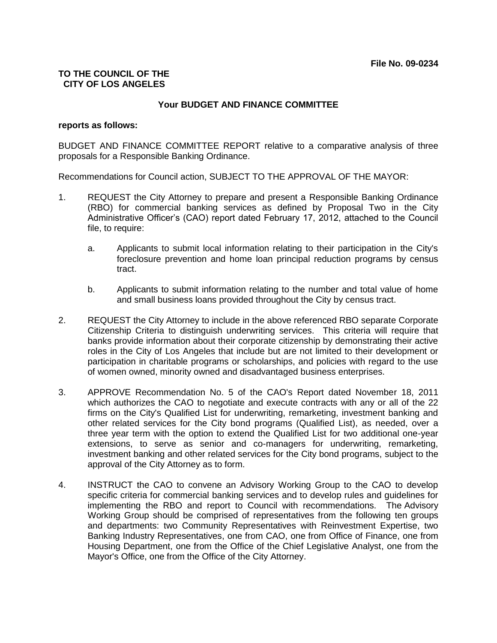# **TO THE COUNCIL OF THE CITY OF LOS ANGELES**

# **Your BUDGET AND FINANCE COMMITTEE**

### **reports as follows:**

BUDGET AND FINANCE COMMITTEE REPORT relative to a comparative analysis of three proposals for a Responsible Banking Ordinance.

Recommendations for Council action, SUBJECT TO THE APPROVAL OF THE MAYOR:

- 1. REQUEST the City Attorney to prepare and present a Responsible Banking Ordinance (RBO) for commercial banking services as defined by Proposal Two in the City Administrative Officer's (CAO) report dated February 17, 2012, attached to the Council file, to require:
	- a. Applicants to submit local information relating to their participation in the City's foreclosure prevention and home loan principal reduction programs by census tract.
	- b. Applicants to submit information relating to the number and total value of home and small business loans provided throughout the City by census tract.
- 2. REQUEST the City Attorney to include in the above referenced RBO separate Corporate Citizenship Criteria to distinguish underwriting services. This criteria will require that banks provide information about their corporate citizenship by demonstrating their active roles in the City of Los Angeles that include but are not limited to their development or participation in charitable programs or scholarships, and policies with regard to the use of women owned, minority owned and disadvantaged business enterprises.
- 3. APPROVE Recommendation No. 5 of the CAO's Report dated November 18, 2011 which authorizes the CAO to negotiate and execute contracts with any or all of the 22 firms on the City's Qualified List for underwriting, remarketing, investment banking and other related services for the City bond programs (Qualified List), as needed, over a three year term with the option to extend the Qualified List for two additional one-year extensions, to serve as senior and co-managers for underwriting, remarketing, investment banking and other related services for the City bond programs, subject to the approval of the City Attorney as to form.
- 4. INSTRUCT the CAO to convene an Advisory Working Group to the CAO to develop specific criteria for commercial banking services and to develop rules and guidelines for implementing the RBO and report to Council with recommendations. The Advisory Working Group should be comprised of representatives from the following ten groups and departments: two Community Representatives with Reinvestment Expertise, two Banking Industry Representatives, one from CAO, one from Office of Finance, one from Housing Department, one from the Office of the Chief Legislative Analyst, one from the Mayor's Office, one from the Office of the City Attorney.